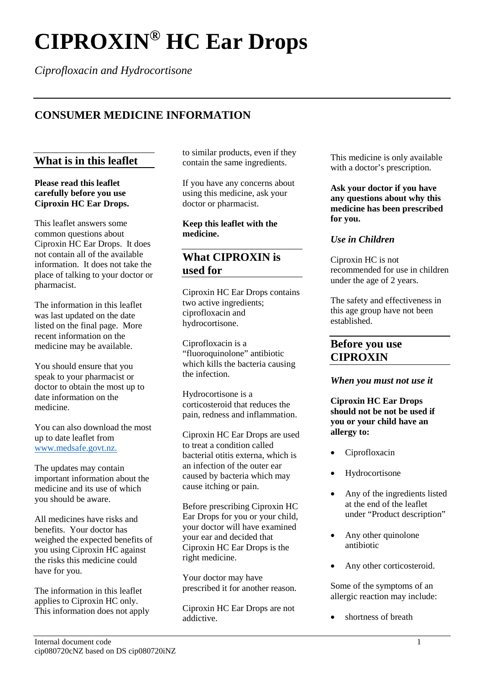# **CIPROXIN® HC Ear Drops**

*Ciprofloxacin and Hydrocortisone*

# **CONSUMER MEDICINE INFORMATION**

## **What is in this leaflet**

**Please read this leaflet carefully before you use Ciproxin HC Ear Drops.**

This leaflet answers some common questions about Ciproxin HC Ear Drops. It does not contain all of the available information. It does not take the place of talking to your doctor or pharmacist.

The information in this leaflet was last updated on the date listed on the final page. More recent information on the medicine may be available.

You should ensure that you speak to your pharmacist or doctor to obtain the most up to date information on the medicine.

You can also download the most up to date leaflet from www.medsafe.govt.nz.

The updates may contain important information about the medicine and its use of which you should be aware.

All medicines have risks and benefits. Your doctor has weighed the expected benefits of you using Ciproxin HC against the risks this medicine could have for you.

The information in this leaflet applies to Ciproxin HC only. This information does not apply to similar products, even if they contain the same ingredients.

If you have any concerns about using this medicine, ask your doctor or pharmacist.

**Keep this leaflet with the medicine.**

## **What CIPROXIN is used for**

Ciproxin HC Ear Drops contains two active ingredients; ciprofloxacin and hydrocortisone.

Ciprofloxacin is a "fluoroquinolone" antibiotic which kills the bacteria causing the infection.

Hydrocortisone is a corticosteroid that reduces the pain, redness and inflammation.

Ciproxin HC Ear Drops are used to treat a condition called bacterial otitis externa, which is an infection of the outer ear caused by bacteria which may cause itching or pain.

Before prescribing Ciproxin HC Ear Drops for you or your child, your doctor will have examined your ear and decided that Ciproxin HC Ear Drops is the right medicine.

Your doctor may have prescribed it for another reason.

Ciproxin HC Ear Drops are not addictive.

This medicine is only available with a doctor's prescription.

**Ask your doctor if you have any questions about why this medicine has been prescribed for you.**

### *Use in Children*

Ciproxin HC is not recommended for use in children under the age of 2 years.

The safety and effectiveness in this age group have not been established.

## **Before you use CIPROXIN**

#### *When you must not use it*

**Ciproxin HC Ear Drops should not be not be used if you or your child have an allergy to:**

- Ciprofloxacin
- **Hydrocortisone**
- Any of the ingredients listed at the end of the leaflet under "Product description"
- Any other quinolone antibiotic
- Any other corticosteroid.

Some of the symptoms of an allergic reaction may include:

• shortness of breath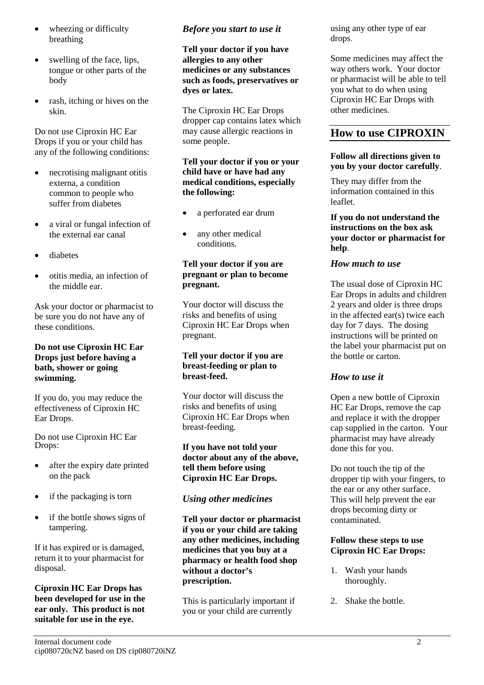- wheezing or difficulty breathing
- swelling of the face, lips, tongue or other parts of the body
- rash, itching or hives on the skin.

Do not use Ciproxin HC Ear Drops if you or your child has any of the following conditions:

- necrotising malignant otitis externa, a condition common to people who suffer from diabetes
- a viral or fungal infection of the external ear canal
- diabetes
- otitis media, an infection of the middle ear.

Ask your doctor or pharmacist to be sure you do not have any of these conditions.

#### **Do not use Ciproxin HC Ear Drops just before having a bath, shower or going swimming.**

If you do, you may reduce the effectiveness of Ciproxin HC Ear Drops.

Do not use Ciproxin HC Ear Drops:

- after the expiry date printed on the pack
- if the packaging is torn
- if the bottle shows signs of tampering.

If it has expired or is damaged, return it to your pharmacist for disposal.

**Ciproxin HC Ear Drops has been developed for use in the ear only. This product is not suitable for use in the eye.**

## *Before you start to use it*

**Tell your doctor if you have allergies to any other medicines or any substances such as foods, preservatives or dyes or latex.**

The Ciproxin HC Ear Drops dropper cap contains latex which may cause allergic reactions in some people.

#### **Tell your doctor if you or your child have or have had any medical conditions, especially the following:**

- a perforated ear drum
- any other medical conditions.

## **Tell your doctor if you are pregnant or plan to become pregnant.**

Your doctor will discuss the risks and benefits of using Ciproxin HC Ear Drops when pregnant.

#### **Tell your doctor if you are breast-feeding or plan to breast-feed.**

Your doctor will discuss the risks and benefits of using Ciproxin HC Ear Drops when breast-feeding.

**If you have not told your doctor about any of the above, tell them before using Ciproxin HC Ear Drops.**

## *Using other medicines*

**Tell your doctor or pharmacist if you or your child are taking any other medicines, including medicines that you buy at a pharmacy or health food shop without a doctor's prescription.**

This is particularly important if you or your child are currently

using any other type of ear drops.

Some medicines may affect the way others work. Your doctor or pharmacist will be able to tell you what to do when using Ciproxin HC Ear Drops with other medicines.

## **How to use CIPROXIN**

#### **Follow all directions given to you by your doctor carefully**.

They may differ from the information contained in this leaflet.

**If you do not understand the instructions on the box ask your doctor or pharmacist for help**.

## *How much to use*

The usual dose of Ciproxin HC Ear Drops in adults and children 2 years and older is three drops in the affected ear(s) twice each day for 7 days. The dosing instructions will be printed on the label your pharmacist put on the bottle or carton.

## *How to use it*

Open a new bottle of Ciproxin HC Ear Drops, remove the cap and replace it with the dropper cap supplied in the carton. Your pharmacist may have already done this for you.

Do not touch the tip of the dropper tip with your fingers, to the ear or any other surface. This will help prevent the ear drops becoming dirty or contaminated.

#### **Follow these steps to use Ciproxin HC Ear Drops:**

- 1. Wash your hands thoroughly.
- 2. Shake the bottle.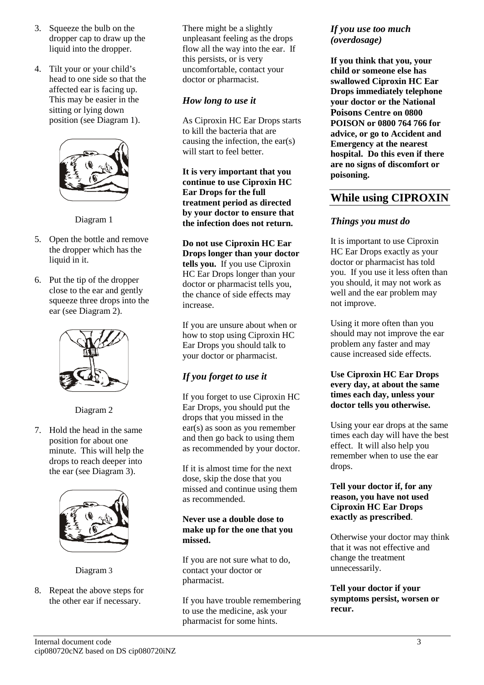- 3. Squeeze the bulb on the dropper cap to draw up the liquid into the dropper.
- 4. Tilt your or your child's head to one side so that the affected ear is facing up. This may be easier in the sitting or lying down position (see Diagram 1).



Diagram 1

- 5. Open the bottle and remove the dropper which has the liquid in it.
- 6. Put the tip of the dropper close to the ear and gently squeeze three drops into the ear (see Diagram 2).



Diagram 2

7. Hold the head in the same position for about one minute. This will help the drops to reach deeper into the ear (see Diagram 3).



Diagram 3

8. Repeat the above steps for the other ear if necessary.

There might be a slightly unpleasant feeling as the drops flow all the way into the ear. If this persists, or is very uncomfortable, contact your doctor or pharmacist.

## *How long to use it*

As Ciproxin HC Ear Drops starts to kill the bacteria that are causing the infection, the ear(s) will start to feel better.

**It is very important that you continue to use Ciproxin HC Ear Drops for the full treatment period as directed by your doctor to ensure that the infection does not return.**

**Do not use Ciproxin HC Ear Drops longer than your doctor tells you.** If you use Ciproxin HC Ear Drops longer than your doctor or pharmacist tells you, the chance of side effects may increase.

If you are unsure about when or how to stop using Ciproxin HC Ear Drops you should talk to your doctor or pharmacist.

## *If you forget to use it*

If you forget to use Ciproxin HC Ear Drops, you should put the drops that you missed in the ear(s) as soon as you remember and then go back to using them as recommended by your doctor.

If it is almost time for the next dose, skip the dose that you missed and continue using them as recommended.

#### **Never use a double dose to make up for the one that you missed.**

If you are not sure what to do, contact your doctor or pharmacist.

If you have trouble remembering to use the medicine, ask your pharmacist for some hints.

## *If you use too much (overdosage)*

**If you think that you, your child or someone else has swallowed Ciproxin HC Ear Drops immediately telephone your doctor or the National Poisons Centre on 0800 POISON or 0800 764 766 for advice, or go to Accident and Emergency at the nearest hospital. Do this even if there are no signs of discomfort or poisoning.**

# **While using CIPROXIN**

## *Things you must do*

It is important to use Ciproxin HC Ear Drops exactly as your doctor or pharmacist has told you. If you use it less often than you should, it may not work as well and the ear problem may not improve.

Using it more often than you should may not improve the ear problem any faster and may cause increased side effects.

#### **Use Ciproxin HC Ear Drops every day, at about the same times each day, unless your doctor tells you otherwise.**

Using your ear drops at the same times each day will have the best effect. It will also help you remember when to use the ear drops.

#### **Tell your doctor if, for any reason, you have not used Ciproxin HC Ear Drops exactly as prescribed**.

Otherwise your doctor may think that it was not effective and change the treatment unnecessarily.

**Tell your doctor if your symptoms persist, worsen or recur.**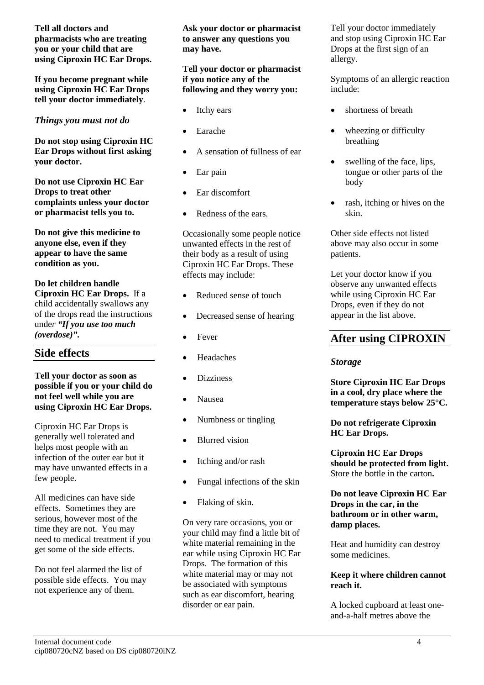**Tell all doctors and pharmacists who are treating you or your child that are using Ciproxin HC Ear Drops.**

**If you become pregnant while using Ciproxin HC Ear Drops tell your doctor immediately**.

*Things you must not do*

**Do not stop using Ciproxin HC Ear Drops without first asking your doctor.**

**Do not use Ciproxin HC Ear Drops to treat other complaints unless your doctor or pharmacist tells you to.** 

**Do not give this medicine to anyone else, even if they appear to have the same condition as you.**

**Do let children handle Ciproxin HC Ear Drops.** If a child accidentally swallows any of the drops read the instructions unde*r "If you use too much (overdose)".*

# **Side effects**

#### **Tell your doctor as soon as possible if you or your child do not feel well while you are using Ciproxin HC Ear Drops.**

Ciproxin HC Ear Drops is generally well tolerated and helps most people with an infection of the outer ear but it may have unwanted effects in a few people.

All medicines can have side effects. Sometimes they are serious, however most of the time they are not. You may need to medical treatment if you get some of the side effects.

Do not feel alarmed the list of possible side effects. You may not experience any of them.

**Ask your doctor or pharmacist to answer any questions you may have.**

#### **Tell your doctor or pharmacist if you notice any of the following and they worry you:**

- Itchy ears
- Earache
- A sensation of fullness of ear
- Ear pain
- Ear discomfort
- Redness of the ears.

Occasionally some people notice unwanted effects in the rest of their body as a result of using Ciproxin HC Ear Drops. These effects may include:

- Reduced sense of touch
- Decreased sense of hearing
- **Fever**
- **Headaches**
- **Dizziness**
- Nausea
- Numbness or tingling
- Blurred vision
- Itching and/or rash
- Fungal infections of the skin
- Flaking of skin.

On very rare occasions, you or your child may find a little bit of white material remaining in the ear while using Ciproxin HC Ear Drops. The formation of this white material may or may not be associated with symptoms such as ear discomfort, hearing disorder or ear pain.

Tell your doctor immediately and stop using Ciproxin HC Ear Drops at the first sign of an allergy.

Symptoms of an allergic reaction include:

- shortness of breath
- wheezing or difficulty breathing
- swelling of the face, lips, tongue or other parts of the body
- rash, itching or hives on the skin.

Other side effects not listed above may also occur in some patients.

Let your doctor know if you observe any unwanted effects while using Ciproxin HC Ear Drops, even if they do not appear in the list above.

# **After using CIPROXIN**

## *Storage*

**Store Ciproxin HC Ear Drops in a cool, dry place where the temperature stays below 25°C.** 

**Do not refrigerate Ciproxin HC Ear Drops.**

**Ciproxin HC Ear Drops should be protected from light.**  Store the bottle in the carton**.**

**Do not leave Ciproxin HC Ear Drops in the car, in the bathroom or in other warm, damp places.**

Heat and humidity can destroy some medicines.

### **Keep it where children cannot reach it.**

A locked cupboard at least oneand-a-half metres above the